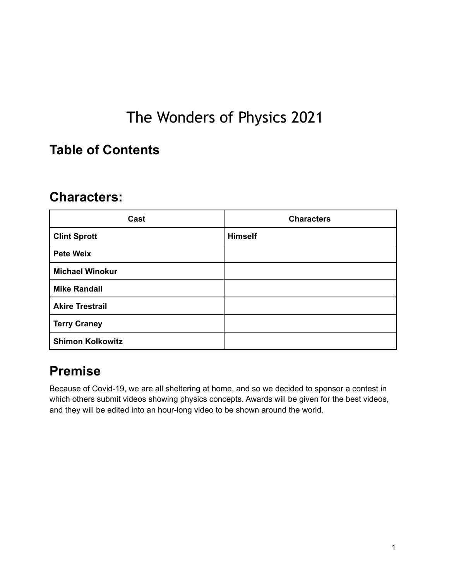# The Wonders of Physics 2021

### <span id="page-0-0"></span>**Table of Contents**

### **Characters:**

| Cast                    | <b>Characters</b> |
|-------------------------|-------------------|
| <b>Clint Sprott</b>     | <b>Himself</b>    |
| <b>Pete Weix</b>        |                   |
| <b>Michael Winokur</b>  |                   |
| <b>Mike Randall</b>     |                   |
| <b>Akire Trestrail</b>  |                   |
| <b>Terry Craney</b>     |                   |
| <b>Shimon Kolkowitz</b> |                   |

### **Premise**

Because of Covid-19, we are all sheltering at home, and so we decided to sponsor a contest in which others submit videos showing physics concepts. Awards will be given for the best videos, and they will be edited into an hour-long video to be shown around the world.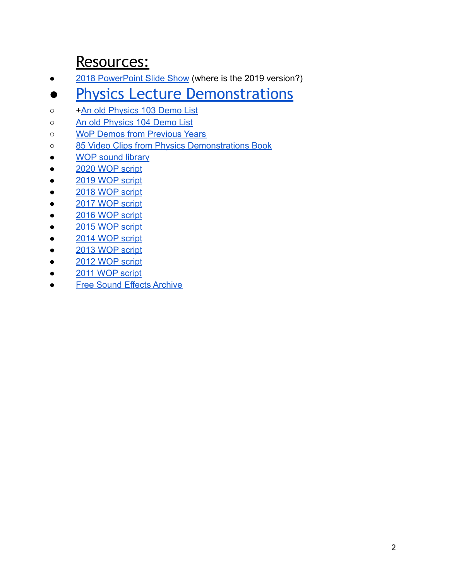## Resources:

- [2018 PowerPoint Slide Show](http://demo1.physics.wisc.edu/wop2015/2015WOP-Slides.ppt) (where is the 2019 version?)
- **[Physics Lecture Demonstrations](https://wiki.physics.wisc.edu//facultywiki/Demonstrations)**
- + [An old Physics 103 Demo List](https://docs.google.com/document/d/1wMsW9g1NB8_BqsZgG3qC3gWfuZFyQoJt7a6YI4vNbnE/edit?usp=sharing)
- [An old Physics 104 Demo List](https://docs.google.com/document/d/11y8wuJmyVV1xR5Bui_dh6EqiXYc6NOciFx7_qCRSC2g/edit?usp=sharing)
- o [WoP Demos from Previous Years](http://sprott.physics.wisc.edu/woptapes.pdf)
- [85 Video Clips from Physics Demonstrations Book](http://uwpress.wisc.edu/books/5480-video.htm)
- [WOP sound library](http://sprott.physics.wisc.edu/wop/sounds)
- [2020 WOP script](https://docs.google.com/document/u/0/d/1J0MNlOUpMF1zJvCT1JpMsxrBY-l_OZJRraKIwy0jdwo/edit)
- [2019 WOP script](https://docs.google.com/document/d/1m0cd1o1y-MwhlCbQvyS4LeB-yXUSqGhzarbH15XNXTA/edit?usp=sharing)
- [2018 WOP script](https://docs.google.com/document/d/1Hvmtk9SNCcrHNQ7eALKW-x4ZH-1gV8qHe0gOHmsocGE/edit#)
- [2017 WOP script](https://docs.google.com/document/d/1FP8FNj7yiGEloriCeCPiMIaHEqjB9PMpF10lFP7OkWY/edit#heading=h.j6jww5rjj1rr)
- [2016 WOP script](https://docs.google.com/document/d/1RK-hKgEBvZUn3BvNOasL6xDc7UhZsTFOV_S7CTfY3RI/edit)
- [2015 WOP script](https://docs.google.com/document/d/1z8VbGt1UeL1BbK-bzBxEVnVWLdGM-uAWnvMVdiirsLU/edit)
- [2014 WOP script](#page-0-0)
- [2013 WOP script](https://docs.google.com/document/d/1fbdjzys_PM2-rgQjGzc3Z9N0A6Nd3xnaXjRQch9XJwc/edit?usp=sharing)
- [2012 WOP script](https://docs.google.com/document/d/1DUn4nU7mQ5TNLiyvaTm5IhjMdYFoXsQVRaxqvMcQl20/edit?usp=sharing)
- [2011 WOP script](https://docs.google.com/document/d/1Zz8Ce_h20JU53LzL_UCENVWcAoKmz3kcHdpLYtYkzDg/edit?usp=sharing)
- [Free Sound Effects Archive](http://www.grsites.com/archive/sounds/)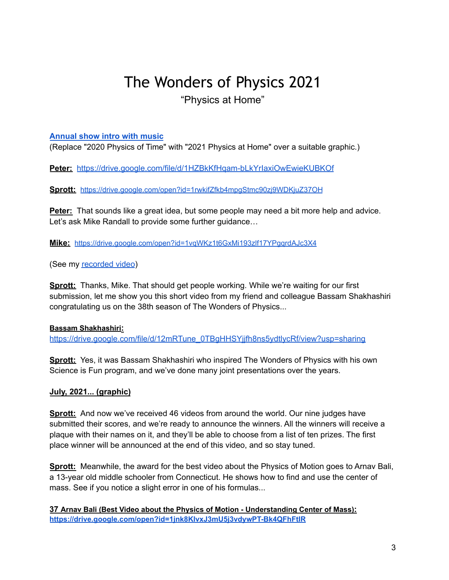### The Wonders of Physics 2021 "Physics at Home"

#### **[Annual](https://drive.google.com/file/d/1cZNY5Rya9b2-MZt64UH4-4Qcx86ZO5xP/view?usp=sharing) show intro with music**

(Replace "2020 Physics of Time" with "2021 Physics at Home" over a suitable graphic.)

**Peter:** <https://drive.google.com/file/d/1HZBkKfHqam-bLkYrIaxiOwEwieKUBKOf>

Sprott: <https://drive.google.com/open?id=1rwkifZfkb4mpgStmc90zj9WDKjuZ37OH>

**Peter:** That sounds like a great idea, but some people may need a bit more help and advice. Let's ask Mike Randall to provide some further guidance…

**Mike:** <https://drive.google.com/open?id=1vqWKz1t6GxMi193zlf17YPgqrdAJc3X4>

(See my [recorded](https://sprott.physics.wisc.edu/temp/sprott3.mp4) video)

**Sprott:** Thanks, Mike. That should get people working. While we're waiting for our first submission, let me show you this short video from my friend and colleague Bassam Shakhashiri congratulating us on the 38th season of The Wonders of Physics...

#### **Bassam Shakhashiri:**

[https://drive.google.com/file/d/12mRTune\\_0TBgHHSYjjfh8ns5ydtlycRf/view?usp=sharing](https://drive.google.com/file/d/12mRTune_0TBgHHSYjjfh8ns5ydtlycRf/view?usp=sharing)

**Sprott:** Yes, it was Bassam Shakhashiri who inspired The Wonders of Physics with his own Science is Fun program, and we've done many joint presentations over the years.

#### **July, 2021... (graphic)**

**Sprott:** And now we've received 46 videos from around the world. Our nine judges have submitted their scores, and we're ready to announce the winners. All the winners will receive a plaque with their names on it, and they'll be able to choose from a list of ten prizes. The first place winner will be announced at the end of this video, and so stay tuned.

**Sprott:** Meanwhile, the award for the best video about the Physics of Motion goes to Arnav Bali, a 13-year old middle schooler from Connecticut. He shows how to find and use the center of mass. See if you notice a slight error in one of his formulas...

**37 Arnav Bali (Best Video about the Physics of Motion - Understanding Center of Mass): <https://drive.google.com/open?id=1jnk8KIvxJ3mU5j3vdywPT-Bk4QFhFtIR>**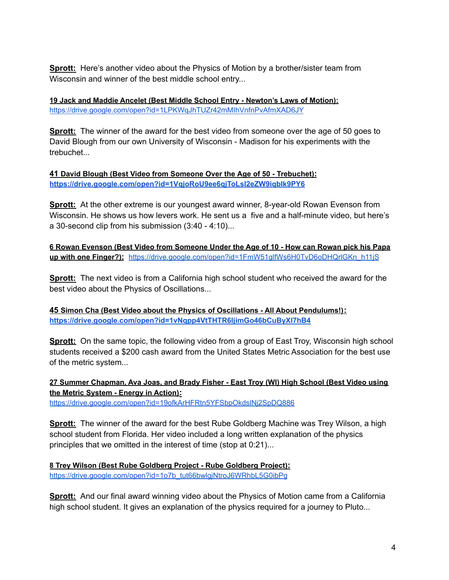**Sprott:** Here's another video about the Physics of Motion by a brother/sister team from Wisconsin and winner of the best middle school entry...

**19 Jack and Maddie Ancelet (Best Middle School Entry - Newton's Laws of Motion):** <https://drive.google.com/open?id=1LPKWqJhTUZr42mMIhVnfnPvAfmXAD6JY>

**Sprott:** The winner of the award for the best video from someone over the age of 50 goes to David Blough from our own University of Wisconsin - Madison for his experiments with the trebuchet...

**41 David Blough (Best Video from Someone Over the Age of 50 - Trebuchet): <https://drive.google.com/open?id=1VqjoRoU9ee6qjToLsI2eZW9iqbIk9PY6>**

**Sprott:** At the other extreme is our youngest award winner, 8-year-old Rowan Evenson from Wisconsin. He shows us how levers work. He sent us a five and a half-minute video, but here's a 30-second clip from his submission (3:40 - 4:10)...

**6 Rowan Evenson (Best Video from Someone Under the Age of 10 - How can Rowan pick his Papa up with one Finger?):** [https://drive.google.com/open?id=1FmW51glfWs6H0TvD6oDHQrlGKn\\_h11jS](https://drive.google.com/open?id=1FmW51glfWs6H0TvD6oDHQrlGKn_h11jS)

**Sprott:** The next video is from a California high school student who received the award for the best video about the Physics of Oscillations...

**45 Simon Cha (Best Video about the Physics of Oscillations - All About Pendulums!): <https://drive.google.com/open?id=1vNqpp4VtTHTR6IjimGo46bCuByXl7hB4>**

**Sprott:** On the same topic, the following video from a group of East Troy, Wisconsin high school students received a \$200 cash award from the United States Metric Association for the best use of the metric system...

**27 Summer Chapman, Ava Joas, and Brady Fisher - East Troy (WI) High School (Best Video using the Metric System - Energy in Action):**

<https://drive.google.com/open?id=19ofkArHFRtn5YFSbpOkdslNj2SpDQ886>

**Sprott:** The winner of the award for the best Rube Goldberg Machine was Trey Wilson, a high school student from Florida. Her video included a long written explanation of the physics principles that we omitted in the interest of time (stop at 0:21)...

**8 Trey Wilson (Best Rube Goldberg Project - Rube Goldberg Project):** [https://drive.google.com/open?id=1o7b\\_tut66bwlgjNtroJ6WRhbL5G0ibPg](https://drive.google.com/open?id=1o7b_tut66bwlgjNtroJ6WRhbL5G0ibPg)

**Sprott:** And our final award winning video about the Physics of Motion came from a California high school student. It gives an explanation of the physics required for a journey to Pluto...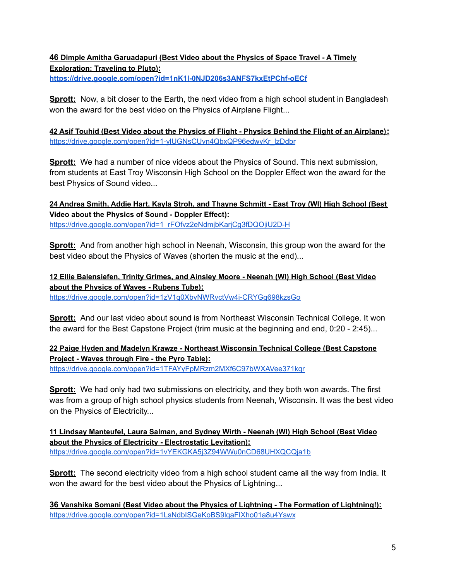#### **46 Dimple Amitha Garuadapuri (Best Video about the Physics of Space Travel - A Timely Exploration: Traveling to Pluto):**

**<https://drive.google.com/open?id=1nK1l-0NJD206s3ANFS7kxEtPChf-oECf>**

**Sprott:** Now, a bit closer to the Earth, the next video from a high school student in Bangladesh won the award for the best video on the Physics of Airplane Flight...

42 Asif Touhid (Best Video about the Physics of Flight - Physics Behind the Flight of an Airplane): [https://drive.google.com/open?id=1-ylUGNsCUvn4QbxQP96edwvKr\\_lzDdbr](https://drive.google.com/open?id=1-ylUGNsCUvn4QbxQP96edwvKr_lzDdbr)

**Sprott:** We had a number of nice videos about the Physics of Sound. This next submission, from students at East Troy Wisconsin High School on the Doppler Effect won the award for the best Physics of Sound video...

**24 Andrea Smith, Addie Hart, Kayla Stroh, and Thayne Schmitt - East Troy (WI) High School (Best Video about the Physics of Sound - Doppler Effect):** [https://drive.google.com/open?id=1\\_rFOfvz2eNdmjbKarjCg3fDQOjiU2D-H](https://drive.google.com/open?id=1_rFOfvz2eNdmjbKarjCg3fDQOjiU2D-H)

**Sprott:** And from another high school in Neenah, Wisconsin, this group won the award for the best video about the Physics of Waves (shorten the music at the end)...

**12 Ellie Balensiefen, Trinity Grimes, and Ainsley Moore - Neenah (WI) High School (Best Video about the Physics of Waves - Rubens Tube):** <https://drive.google.com/open?id=1zV1q0XbvNWRvctVw4i-CRYGg698kzsGo>

**Sprott:** And our last video about sound is from Northeast Wisconsin Technical College. It won the award for the Best Capstone Project (trim music at the beginning and end, 0:20 - 2:45)...

**22 Paige Hyden and Madelyn Krawze - Northeast Wisconsin Technical College (Best Capstone Project - Waves through Fire - the Pyro Table):** <https://drive.google.com/open?id=1TFAYyFpMRzm2MXf6C97bWXAVee371kqr>

**Sprott:** We had only had two submissions on electricity, and they both won awards. The first was from a group of high school physics students from Neenah, Wisconsin. It was the best video on the Physics of Electricity...

**11 Lindsay Manteufel, Laura Salman, and Sydney Wirth - Neenah (WI) High School (Best Video about the Physics of Electricity - Electrostatic Levitation):** <https://drive.google.com/open?id=1vYEKGKA5j3Z94WWu0nCD68UHXQCQja1b>

**Sprott:** The second electricity video from a high school student came all the way from India. It won the award for the best video about the Physics of Lightning...

**36 Vanshika Somani (Best Video about the Physics of Lightning - The Formation of Lightning!):** <https://drive.google.com/open?id=1LsNdbISGeKoBS9lqaFIXho01a8u4Yswx>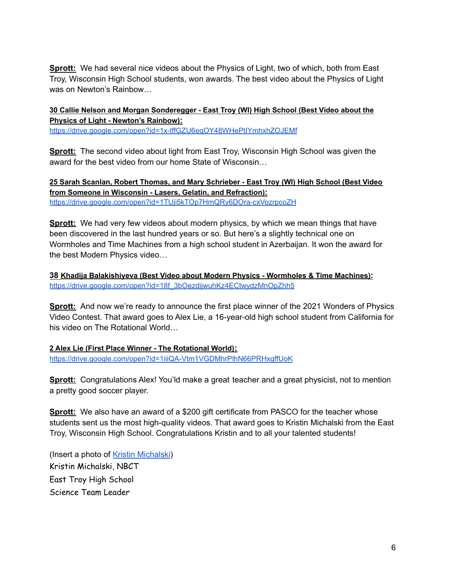**Sprott:** We had several nice videos about the Physics of Light, two of which, both from East Troy, Wisconsin High School students, won awards. The best video about the Physics of Light was on Newton's Rainbow…

#### **30 Callie Nelson and Morgan Sonderegger - East Troy (WI) High School (Best Video about the Physics of Light - Newton's Rainbow):**

<https://drive.google.com/open?id=1x-tffGZU6eqOY48WHePtIYmhxhZOJEMf>

**Sprott:** The second video about light from East Troy, Wisconsin High School was given the award for the best video from our home State of Wisconsin…

**25 Sarah Scanlan, Robert Thomas, and Mary Schrieber - East Troy (WI) High School (Best Video from Someone in Wisconsin - Lasers, Gelatin, and Refraction):** <https://drive.google.com/open?id=1TUji5kTOp7HmQRy6DOra-cxVozrpcoZH>

**Sprott:** We had very few videos about modern physics, by which we mean things that have been discovered in the last hundred years or so. But here's a slightly technical one on Wormholes and Time Machines from a high school student in Azerbaijan. It won the award for the best Modern Physics video…

**38 Khadija Balakishiyeva (Best Video about Modern Physics - Wormholes & Time Machines):** [https://drive.google.com/open?id=18f\\_3bOezdijwuhKz4ECtwydzMnOpZhh5](https://drive.google.com/open?id=18f_3bOezdijwuhKz4ECtwydzMnOpZhh5)

**Sprott:** And now we're ready to announce the first place winner of the 2021 Wonders of Physics Video Contest. That award goes to Alex Lie, a 16-year-old high school student from California for his video on The Rotational World…

**2 Alex Lie (First Place Winner - The Rotational World):** <https://drive.google.com/open?id=1iiiQA-Vtm1VGDMhrPlhN66PRHxgffUoK>

**Sprott:** Congratulations Alex! You'ld make a great teacher and a great physicist, not to mention a pretty good soccer player.

**Sprott:** We also have an award of a \$200 gift certificate from PASCO for the teacher whose students sent us the most high-quality videos. That award goes to Kristin Michalski from the East Troy, Wisconsin High School. Congratulations Kristin and to all your talented students!

(Insert a photo of Kristin [Michalski](http://sprott.physics.wisc.edu/photos/friends/kristin.jpg)) Kristin Michalski, NBCT East Troy High School Science Team Leader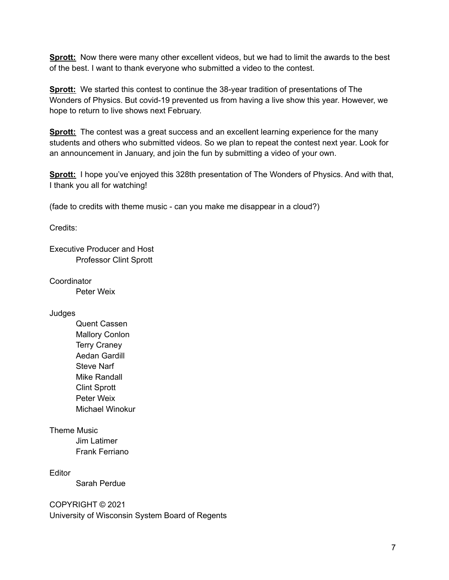**Sprott:** Now there were many other excellent videos, but we had to limit the awards to the best of the best. I want to thank everyone who submitted a video to the contest.

**Sprott:** We started this contest to continue the 38-year tradition of presentations of The Wonders of Physics. But covid-19 prevented us from having a live show this year. However, we hope to return to live shows next February.

**Sprott:** The contest was a great success and an excellent learning experience for the many students and others who submitted videos. So we plan to repeat the contest next year. Look for an announcement in January, and join the fun by submitting a video of your own.

**Sprott:** I hope you've enjoyed this 328th presentation of The Wonders of Physics. And with that, I thank you all for watching!

(fade to credits with theme music - can you make me disappear in a cloud?)

Credits:

Executive Producer and Host Professor Clint Sprott

**Coordinator** 

Peter Weix

Judges

Quent Cassen Mallory Conlon Terry Craney Aedan Gardill Steve Narf Mike Randall Clint Sprott Peter Weix Michael Winokur

Theme Music

Jim Latimer Frank Ferriano

**Editor** 

Sarah Perdue

COPYRIGHT © 2021 University of Wisconsin System Board of Regents